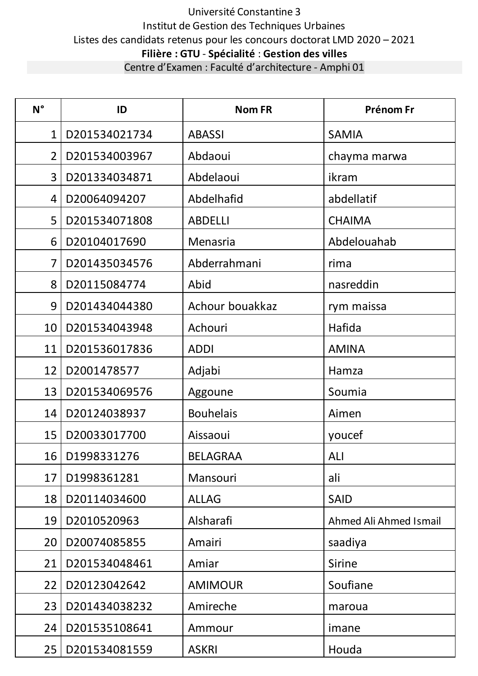# Université Constantine 3 Institut de Gestion des Techniques Urbaines Listes des candidats retenus pour les concours doctorat LMD 2020 – 2021 **Filière : GTU** - **Spécialité** : **Gestion des villes**

| Centre d'Examen : Faculté d'architecture - Amphi 01 |  |
|-----------------------------------------------------|--|
|-----------------------------------------------------|--|

| $N^{\circ}$    | ID               | <b>Nom FR</b>    | Prénom Fr              |
|----------------|------------------|------------------|------------------------|
| $\mathbf{1}$   | D201534021734    | <b>ABASSI</b>    | <b>SAMIA</b>           |
| $\overline{2}$ | D201534003967    | Abdaoui          | chayma marwa           |
| 3              | D201334034871    | Abdelaoui        | ikram                  |
| 4              | D20064094207     | Abdelhafid       | abdellatif             |
| 5              | D201534071808    | <b>ABDELLI</b>   | <b>CHAIMA</b>          |
| 6              | D20104017690     | Menasria         | Abdelouahab            |
| $\overline{7}$ | D201435034576    | Abderrahmani     | rima                   |
| 8              | D20115084774     | Abid             | nasreddin              |
| 9              | D201434044380    | Achour bouakkaz  | rym maissa             |
| 10             | D201534043948    | Achouri          | Hafida                 |
| 11             | D201536017836    | <b>ADDI</b>      | <b>AMINA</b>           |
| 12             | D2001478577      | Adjabi           | Hamza                  |
| 13             | D201534069576    | Aggoune          | Soumia                 |
| 14             | D20124038937     | <b>Bouhelais</b> | Aimen                  |
| 15             | D20033017700     | Aissaoui         | youcef                 |
|                | 16   D1998331276 | <b>BELAGRAA</b>  | <b>ALI</b>             |
| 17             | D1998361281      | Mansouri         | ali                    |
| 18             | D20114034600     | <b>ALLAG</b>     | <b>SAID</b>            |
| 19             | D2010520963      | Alsharafi        | Ahmed Ali Ahmed Ismail |
| 20             | D20074085855     | Amairi           | saadiya                |
| 21             | D201534048461    | Amiar            | Sirine                 |
| 22             | D20123042642     | <b>AMIMOUR</b>   | Soufiane               |
| 23             | D201434038232    | Amireche         | maroua                 |
| 24             | D201535108641    | Ammour           | imane                  |
| 25             | D201534081559    | <b>ASKRI</b>     | Houda                  |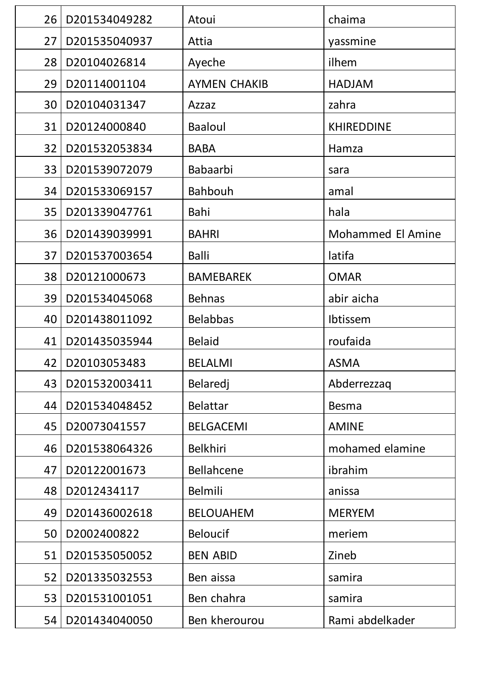| 26 | D201534049282 | Atoui               | chaima                   |
|----|---------------|---------------------|--------------------------|
| 27 | D201535040937 | Attia               | yassmine                 |
| 28 | D20104026814  | Ayeche              | ilhem                    |
| 29 | D20114001104  | <b>AYMEN CHAKIB</b> | <b>HADJAM</b>            |
| 30 | D20104031347  | Azzaz               | zahra                    |
| 31 | D20124000840  | <b>Baaloul</b>      | <b>KHIREDDINE</b>        |
| 32 | D201532053834 | <b>BABA</b>         | Hamza                    |
| 33 | D201539072079 | <b>Babaarbi</b>     | sara                     |
| 34 | D201533069157 | <b>Bahbouh</b>      | amal                     |
| 35 | D201339047761 | Bahi                | hala                     |
| 36 | D201439039991 | <b>BAHRI</b>        | <b>Mohammed El Amine</b> |
| 37 | D201537003654 | <b>Balli</b>        | latifa                   |
| 38 | D20121000673  | <b>BAMEBAREK</b>    | <b>OMAR</b>              |
| 39 | D201534045068 | <b>Behnas</b>       | abir aicha               |
| 40 | D201438011092 | <b>Belabbas</b>     | Ibtissem                 |
| 41 | D201435035944 | <b>Belaid</b>       | roufaida                 |
| 42 | D20103053483  | <b>BELALMI</b>      | <b>ASMA</b>              |
| 43 | D201532003411 | Belaredj            | Abderrezzaq              |
| 44 | D201534048452 | <b>Belattar</b>     | <b>Besma</b>             |
| 45 | D20073041557  | <b>BELGACEMI</b>    | <b>AMINE</b>             |
| 46 | D201538064326 | <b>Belkhiri</b>     | mohamed elamine          |
| 47 | D20122001673  | <b>Bellahcene</b>   | ibrahim                  |
| 48 | D2012434117   | <b>Belmili</b>      | anissa                   |
| 49 | D201436002618 | <b>BELOUAHEM</b>    | <b>MERYEM</b>            |
| 50 | D2002400822   | <b>Beloucif</b>     | meriem                   |
| 51 | D201535050052 | <b>BEN ABID</b>     | Zineb                    |
| 52 | D201335032553 | Ben aissa           | samira                   |
| 53 | D201531001051 | Ben chahra          | samira                   |
| 54 | D201434040050 | Ben kherourou       | Rami abdelkader          |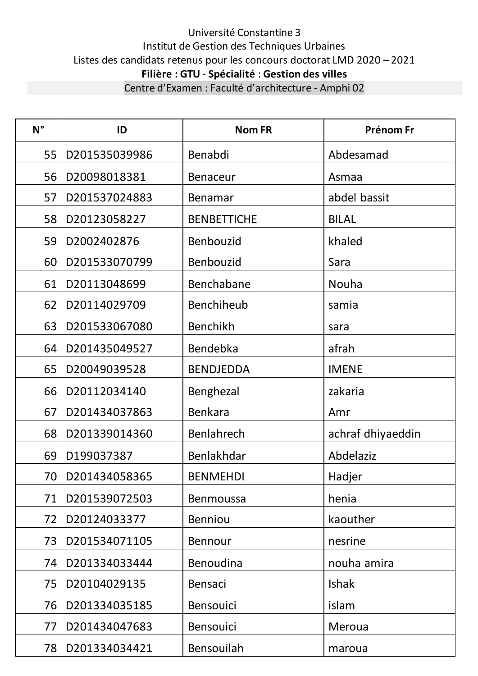| $N^{\circ}$ | ID                 | <b>Nom FR</b>      | Prénom Fr         |
|-------------|--------------------|--------------------|-------------------|
| 55          | D201535039986      | Benabdi            | Abdesamad         |
| 56          | D20098018381       | <b>Benaceur</b>    | Asmaa             |
| 57          | D201537024883      | Benamar            | abdel bassit      |
| 58          | D20123058227       | <b>BENBETTICHE</b> | <b>BILAL</b>      |
| 59          | D2002402876        | Benbouzid          | khaled            |
| 60          | D201533070799      | Benbouzid          | Sara              |
| 61          | D20113048699       | Benchabane         | Nouha             |
| 62          | D20114029709       | Benchiheub         | samia             |
| 63          | D201533067080      | Benchikh           | sara              |
| 64          | D201435049527      | Bendebka           | afrah             |
| 65          | D20049039528       | <b>BENDJEDDA</b>   | <b>IMENE</b>      |
| 66          | D20112034140       | Benghezal          | zakaria           |
| 67          | D201434037863      | Benkara            | Amr               |
| 68          | D201339014360      | Benlahrech         | achraf dhiyaeddin |
| 69          | D199037387         | Benlakhdar         | Abdelaziz         |
|             | 70   D201434058365 | <b>BENMEHDI</b>    | Hadjer            |
| 71          | D201539072503      | <b>Benmoussa</b>   | henia             |
| 72          | D20124033377       | <b>Benniou</b>     | kaouther          |
| 73          | D201534071105      | <b>Bennour</b>     | nesrine           |
| 74          | D201334033444      | Benoudina          | nouha amira       |
| 75          | D20104029135       | Bensaci            | <b>Ishak</b>      |
| 76          | D201334035185      | <b>Bensouici</b>   | islam             |
| 77          | D201434047683      | <b>Bensouici</b>   | Meroua            |
| 78          | D201334034421      | Bensouilah         | maroua            |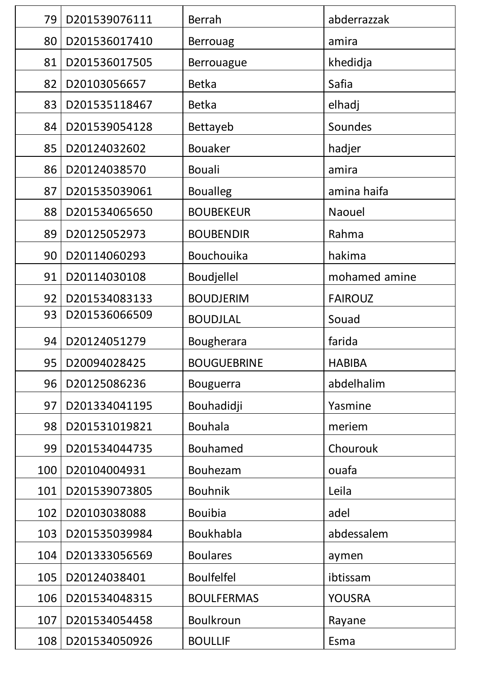| 79  | D201539076111 | <b>Berrah</b>      | abderrazzak    |
|-----|---------------|--------------------|----------------|
| 80  | D201536017410 | <b>Berrouag</b>    | amira          |
| 81  | D201536017505 | <b>Berrouague</b>  | khedidja       |
| 82  | D20103056657  | <b>Betka</b>       | Safia          |
| 83  | D201535118467 | <b>Betka</b>       | elhadj         |
| 84  | D201539054128 | Bettayeb           | Soundes        |
| 85  | D20124032602  | <b>Bouaker</b>     | hadjer         |
| 86  | D20124038570  | <b>Bouali</b>      | amira          |
| 87  | D201535039061 | <b>Boualleg</b>    | amina haifa    |
| 88  | D201534065650 | <b>BOUBEKEUR</b>   | Naouel         |
| 89  | D20125052973  | <b>BOUBENDIR</b>   | Rahma          |
| 90  | D20114060293  | Bouchouika         | hakima         |
| 91  | D20114030108  | Boudjellel         | mohamed amine  |
| 92  | D201534083133 | <b>BOUDJERIM</b>   | <b>FAIROUZ</b> |
| 93  | D201536066509 | <b>BOUDJLAL</b>    | Souad          |
|     |               |                    |                |
| 94  | D20124051279  | Bougherara         | farida         |
| 95  | D20094028425  | <b>BOUGUEBRINE</b> | <b>HABIBA</b>  |
| 96  | D20125086236  | <b>Bouguerra</b>   | abdelhalim     |
| 97  | D201334041195 | Bouhadidji         | Yasmine        |
| 98  | D201531019821 | <b>Bouhala</b>     | meriem         |
| 99  | D201534044735 | <b>Bouhamed</b>    | Chourouk       |
| 100 | D20104004931  | Bouhezam           | ouafa          |
| 101 | D201539073805 | <b>Bouhnik</b>     | Leila          |
| 102 | D20103038088  | <b>Bouibia</b>     | adel           |
| 103 | D201535039984 | Boukhabla          | abdessalem     |
| 104 | D201333056569 | <b>Boulares</b>    | aymen          |
| 105 | D20124038401  | <b>Boulfelfel</b>  | ibtissam       |
| 106 | D201534048315 | <b>BOULFERMAS</b>  | <b>YOUSRA</b>  |
| 107 | D201534054458 | Boulkroun          | Rayane         |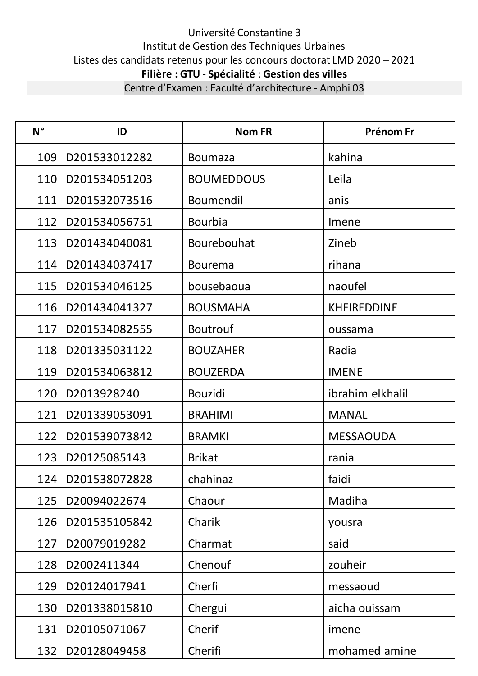| $N^{\circ}$ | ID                  | <b>Nom FR</b>     | Prénom Fr          |
|-------------|---------------------|-------------------|--------------------|
| 109         | D201533012282       | <b>Boumaza</b>    | kahina             |
| 110         | D201534051203       | <b>BOUMEDDOUS</b> | Leila              |
| 111         | D201532073516       | Boumendil         | anis               |
| 112         | D201534056751       | <b>Bourbia</b>    | Imene              |
| 113         | D201434040081       | Bourebouhat       | Zineb              |
| 114         | D201434037417       | <b>Bourema</b>    | rihana             |
| 115         | D201534046125       | bousebaoua        | naoufel            |
| 116         | D201434041327       | <b>BOUSMAHA</b>   | <b>KHEIREDDINE</b> |
| 117         | D201534082555       | <b>Boutrouf</b>   | oussama            |
| 118         | D201335031122       | <b>BOUZAHER</b>   | Radia              |
| 119         | D201534063812       | <b>BOUZERDA</b>   | <b>IMENE</b>       |
| 120         | D2013928240         | <b>Bouzidi</b>    | ibrahim elkhalil   |
| 121         | D201339053091       | <b>BRAHIMI</b>    | <b>MANAL</b>       |
| 122         | D201539073842       | <b>BRAMKI</b>     | <b>MESSAOUDA</b>   |
| 123         | D20125085143        | <b>Brikat</b>     | rania              |
|             | 124   D201538072828 | chahinaz          | faidi              |
| 125         | D20094022674        | Chaour            | Madiha             |
| 126         | D201535105842       | Charik            | yousra             |
| 127         | D20079019282        | Charmat           | said               |
| 128         | D2002411344         | Chenouf           | zouheir            |
| 129         | D20124017941        | Cherfi            | messaoud           |
| 130         | D201338015810       | Chergui           | aicha ouissam      |
| 131         | D20105071067        | Cherif            | imene              |
| 132         | D20128049458        | Cherifi           | mohamed amine      |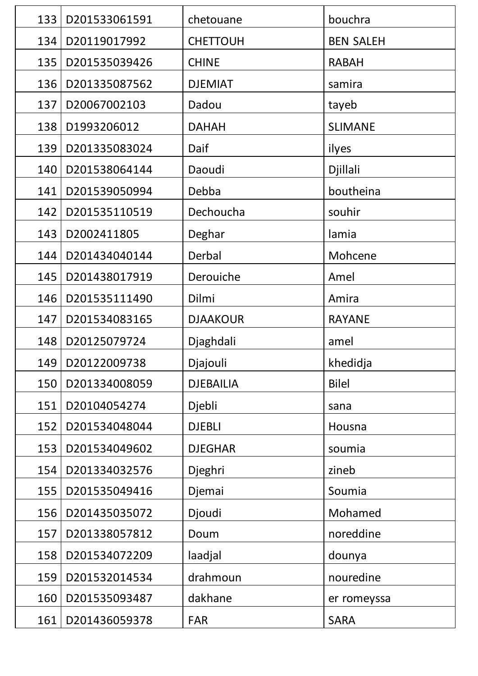| 133 | D201533061591 | chetouane        | bouchra          |
|-----|---------------|------------------|------------------|
| 134 | D20119017992  | <b>CHETTOUH</b>  | <b>BEN SALEH</b> |
| 135 | D201535039426 | <b>CHINE</b>     | <b>RABAH</b>     |
| 136 | D201335087562 | <b>DJEMIAT</b>   | samira           |
| 137 | D20067002103  | Dadou            | tayeb            |
| 138 | D1993206012   | <b>DAHAH</b>     | <b>SLIMANE</b>   |
| 139 | D201335083024 | Daif             | ilyes            |
| 140 | D201538064144 | Daoudi           | Djillali         |
| 141 | D201539050994 | Debba            | boutheina        |
| 142 | D201535110519 | Dechoucha        | souhir           |
| 143 | D2002411805   | Deghar           | lamia            |
| 144 | D201434040144 | Derbal           | Mohcene          |
| 145 | D201438017919 | Derouiche        | Amel             |
| 146 | D201535111490 | Dilmi            | Amira            |
| 147 | D201534083165 | <b>DJAAKOUR</b>  | <b>RAYANE</b>    |
| 148 | D20125079724  | Djaghdali        | amel             |
| 149 | D20122009738  | Djajouli         | khedidja         |
| 150 | D201334008059 | <b>DJEBAILIA</b> | <b>Bilel</b>     |
| 151 | D20104054274  | Djebli           | sana             |
| 152 | D201534048044 | <b>DJEBLI</b>    | Housna           |
| 153 | D201534049602 | <b>DJEGHAR</b>   | soumia           |
| 154 | D201334032576 | Djeghri          | zineb            |
| 155 | D201535049416 | Djemai           | Soumia           |
| 156 | D201435035072 | Djoudi           | Mohamed          |
| 157 | D201338057812 | Doum             | noreddine        |
| 158 | D201534072209 | laadjal          | dounya           |
| 159 | D201532014534 | drahmoun         | nouredine        |
| 160 | D201535093487 | dakhane          | er romeyssa      |
| 161 | D201436059378 | FAR              | <b>SARA</b>      |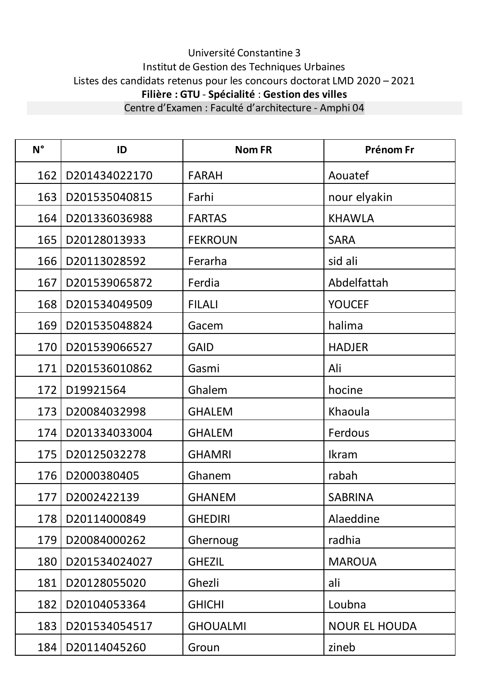| $N^{\circ}$ | ID                | <b>Nom FR</b>   | Prénom Fr            |
|-------------|-------------------|-----------------|----------------------|
| 162         | D201434022170     | <b>FARAH</b>    | Aouatef              |
| 163         | D201535040815     | Farhi           | nour elyakin         |
| 164         | D201336036988     | <b>FARTAS</b>   | <b>KHAWLA</b>        |
| 165         | D20128013933      | <b>FEKROUN</b>  | <b>SARA</b>          |
| 166         | D20113028592      | Ferarha         | sid ali              |
| 167         | D201539065872     | Ferdia          | Abdelfattah          |
| 168         | D201534049509     | <b>FILALI</b>   | <b>YOUCEF</b>        |
| 169         | D201535048824     | Gacem           | halima               |
| 170         | D201539066527     | <b>GAID</b>     | <b>HADJER</b>        |
| 171         | D201536010862     | Gasmi           | Ali                  |
| 172         | D19921564         | Ghalem          | hocine               |
| 173         | D20084032998      | <b>GHALEM</b>   | Khaoula              |
| 174         | D201334033004     | <b>GHALEM</b>   | Ferdous              |
| 175         | D20125032278      | <b>GHAMRI</b>   | <b>Ikram</b>         |
| 176         | D2000380405       | Ghanem          | rabah                |
|             | 177   D2002422139 | <b>GHANEM</b>   | <b>SABRINA</b>       |
| 178         | D20114000849      | <b>GHEDIRI</b>  | Alaeddine            |
| 179         | D20084000262      | Ghernoug        | radhia               |
| 180         | D201534024027     | <b>GHEZIL</b>   | <b>MAROUA</b>        |
| 181         | D20128055020      | Ghezli          | ali                  |
| 182         | D20104053364      | <b>GHICHI</b>   | Loubna               |
| 183         | D201534054517     | <b>GHOUALMI</b> | <b>NOUR EL HOUDA</b> |
| 184         | D20114045260      | Groun           | zineb                |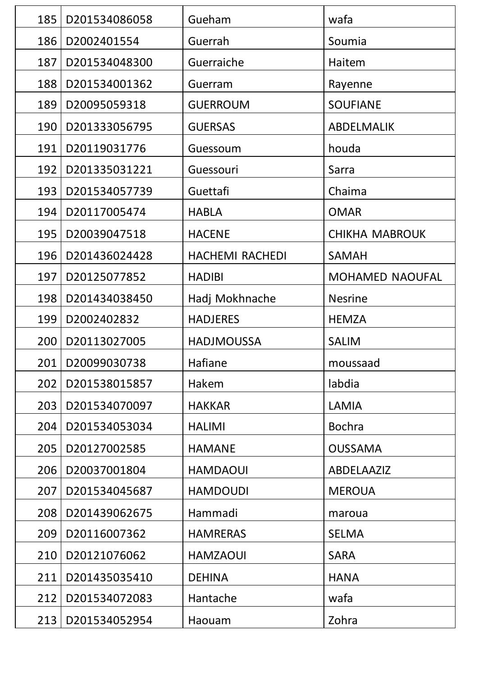| 185 | D201534086058 | Gueham                 | wafa                  |
|-----|---------------|------------------------|-----------------------|
| 186 | D2002401554   | Guerrah                | Soumia                |
| 187 | D201534048300 | Guerraiche             | Haitem                |
| 188 | D201534001362 | Guerram                | Rayenne               |
| 189 | D20095059318  | <b>GUERROUM</b>        | <b>SOUFIANE</b>       |
| 190 | D201333056795 | <b>GUERSAS</b>         | ABDELMALIK            |
| 191 | D20119031776  | Guessoum               | houda                 |
| 192 | D201335031221 | Guessouri              | Sarra                 |
| 193 | D201534057739 | Guettafi               | Chaima                |
| 194 | D20117005474  | <b>HABLA</b>           | <b>OMAR</b>           |
| 195 | D20039047518  | <b>HACENE</b>          | <b>CHIKHA MABROUK</b> |
| 196 | D201436024428 | <b>HACHEMI RACHEDI</b> | <b>SAMAH</b>          |
| 197 | D20125077852  | <b>HADIBI</b>          | MOHAMED NAOUFAL       |
| 198 | D201434038450 | Hadj Mokhnache         | <b>Nesrine</b>        |
| 199 | D2002402832   | <b>HADJERES</b>        | <b>HEMZA</b>          |
| 200 | D20113027005  | <b>HADJMOUSSA</b>      | <b>SALIM</b>          |
| 201 | D20099030738  | Hafiane                | moussaad              |
| 202 | D201538015857 | Hakem                  | labdia                |
| 203 | D201534070097 | <b>HAKKAR</b>          | <b>LAMIA</b>          |
| 204 | D201534053034 | <b>HALIMI</b>          | <b>Bochra</b>         |
| 205 | D20127002585  | <b>HAMANE</b>          | <b>OUSSAMA</b>        |
| 206 | D20037001804  | <b>HAMDAOUI</b>        | <b>ABDELAAZIZ</b>     |
| 207 | D201534045687 | <b>HAMDOUDI</b>        | <b>MEROUA</b>         |
| 208 | D201439062675 | Hammadi                | maroua                |
| 209 | D20116007362  | <b>HAMRERAS</b>        | <b>SELMA</b>          |
| 210 | D20121076062  | <b>HAMZAOUI</b>        | <b>SARA</b>           |
| 211 | D201435035410 | <b>DEHINA</b>          | <b>HANA</b>           |
| 212 | D201534072083 | Hantache               | wafa                  |
| 213 | D201534052954 | Haouam                 | Zohra                 |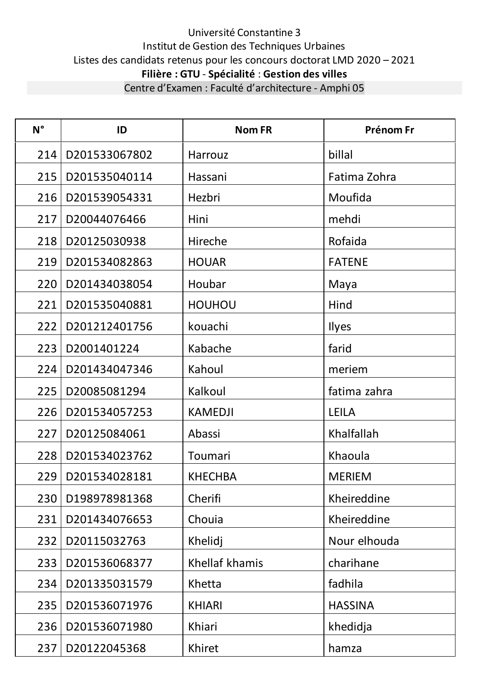| $N^{\circ}$ | ID                | <b>Nom FR</b>  | Prénom Fr      |
|-------------|-------------------|----------------|----------------|
| 214         | D201533067802     | Harrouz        | billal         |
| 215         | D201535040114     | Hassani        | Fatima Zohra   |
| 216         | D201539054331     | Hezbri         | Moufida        |
| 217         | D20044076466      | Hini           | mehdi          |
| 218         | D20125030938      | Hireche        | Rofaida        |
| 219         | D201534082863     | <b>HOUAR</b>   | <b>FATENE</b>  |
| 220         | D201434038054     | Houbar         | Maya           |
| 221         | D201535040881     | <b>HOUHOU</b>  | Hind           |
| 222         | D201212401756     | kouachi        | Ilyes          |
| 223         | D2001401224       | Kabache        | farid          |
| 224         | D201434047346     | Kahoul         | meriem         |
| 225         | D20085081294      | Kalkoul        | fatima zahra   |
| 226         | D201534057253     | <b>KAMEDJI</b> | <b>LEILA</b>   |
| 227         | D20125084061      | Abassi         | Khalfallah     |
| 228         | D201534023762     | Toumari        | Khaoula        |
|             | 229 D201534028181 | <b>KHECHBA</b> | <b>MERIEM</b>  |
| 230         | D198978981368     | Cherifi        | Kheireddine    |
| 231         | D201434076653     | Chouia         | Kheireddine    |
| 232         | D20115032763      | Khelidj        | Nour elhouda   |
| 233         | D201536068377     | Khellaf khamis | charihane      |
| 234         | D201335031579     | Khetta         | fadhila        |
| 235         | D201536071976     | <b>KHIARI</b>  | <b>HASSINA</b> |
| 236         | D201536071980     | Khiari         | khedidja       |
| 237         | D20122045368      | Khiret         | hamza          |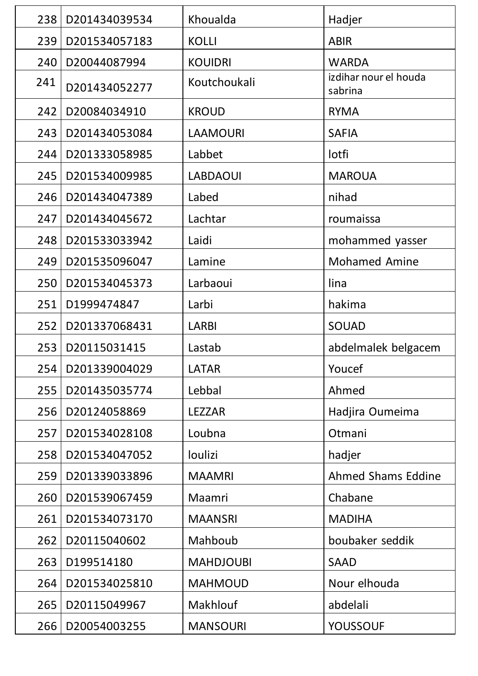| 238 | D201434039534 | Khoualda         | Hadjer                           |
|-----|---------------|------------------|----------------------------------|
| 239 | D201534057183 | <b>KOLLI</b>     | <b>ABIR</b>                      |
| 240 | D20044087994  | <b>KOUIDRI</b>   | <b>WARDA</b>                     |
| 241 | D201434052277 | Koutchoukali     | izdihar nour el houda<br>sabrina |
| 242 | D20084034910  | <b>KROUD</b>     | <b>RYMA</b>                      |
| 243 | D201434053084 | <b>LAAMOURI</b>  | <b>SAFIA</b>                     |
| 244 | D201333058985 | Labbet           | lotfi                            |
| 245 | D201534009985 | <b>LABDAOUI</b>  | <b>MAROUA</b>                    |
| 246 | D201434047389 | Labed            | nihad                            |
| 247 | D201434045672 | Lachtar          | roumaissa                        |
| 248 | D201533033942 | Laidi            | mohammed yasser                  |
| 249 | D201535096047 | Lamine           | <b>Mohamed Amine</b>             |
| 250 | D201534045373 | Larbaoui         | lina                             |
| 251 | D1999474847   | Larbi            | hakima                           |
| 252 | D201337068431 | <b>LARBI</b>     | SOUAD                            |
| 253 | D20115031415  | Lastab           | abdelmalek belgacem              |
| 254 | D201339004029 | <b>LATAR</b>     | Youcef                           |
| 255 | D201435035774 | Lebbal           | Ahmed                            |
| 256 | D20124058869  | <b>LEZZAR</b>    | Hadjira Oumeima                  |
| 257 | D201534028108 | Loubna           | Otmani                           |
| 258 | D201534047052 | loulizi          | hadjer                           |
| 259 | D201339033896 | <b>MAAMRI</b>    | <b>Ahmed Shams Eddine</b>        |
| 260 | D201539067459 | Maamri           | Chabane                          |
| 261 | D201534073170 | <b>MAANSRI</b>   | <b>MADIHA</b>                    |
| 262 | D20115040602  | Mahboub          | boubaker seddik                  |
| 263 | D199514180    | <b>MAHDJOUBI</b> | <b>SAAD</b>                      |
| 264 | D201534025810 | <b>MAHMOUD</b>   | Nour elhouda                     |
| 265 | D20115049967  | <b>Makhlouf</b>  | abdelali                         |
| 266 | D20054003255  | <b>MANSOURI</b>  | <b>YOUSSOUF</b>                  |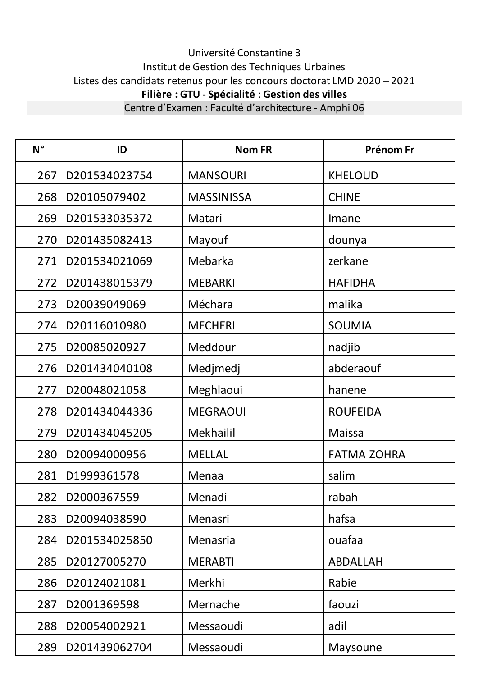| $N^{\circ}$ | ID            | <b>Nom FR</b>     | <b>Prénom Fr</b>   |
|-------------|---------------|-------------------|--------------------|
| 267         | D201534023754 | <b>MANSOURI</b>   | <b>KHELOUD</b>     |
| 268         | D20105079402  | <b>MASSINISSA</b> | <b>CHINE</b>       |
| 269         | D201533035372 | Matari            | Imane              |
| 270         | D201435082413 | Mayouf            | dounya             |
| 271         | D201534021069 | Mebarka           | zerkane            |
| 272         | D201438015379 | <b>MEBARKI</b>    | <b>HAFIDHA</b>     |
| 273         | D20039049069  | Méchara           | malika             |
| 274         | D20116010980  | <b>MECHERI</b>    | <b>SOUMIA</b>      |
| 275         | D20085020927  | Meddour           | nadjib             |
| 276         | D201434040108 | Medjmedj          | abderaouf          |
| 277         | D20048021058  | Meghlaoui         | hanene             |
| 278         | D201434044336 | <b>MEGRAOUI</b>   | <b>ROUFEIDA</b>    |
| 279         | D201434045205 | Mekhailil         | <b>Maissa</b>      |
| 280         | D20094000956  | <b>MELLAL</b>     | <b>FATMA ZOHRA</b> |
| 281         | D1999361578   | Menaa             | salim              |
| 282         | D2000367559   | Menadi            | rabah              |
| 283         | D20094038590  | Menasri           | hafsa              |
| 284         | D201534025850 | Menasria          | ouafaa             |
| 285         | D20127005270  | <b>MERABTI</b>    | <b>ABDALLAH</b>    |
| 286         | D20124021081  | Merkhi            | Rabie              |
| 287         | D2001369598   | Mernache          | faouzi             |
| 288         | D20054002921  | Messaoudi         | adil               |
| 289         | D201439062704 | Messaoudi         | Maysoune           |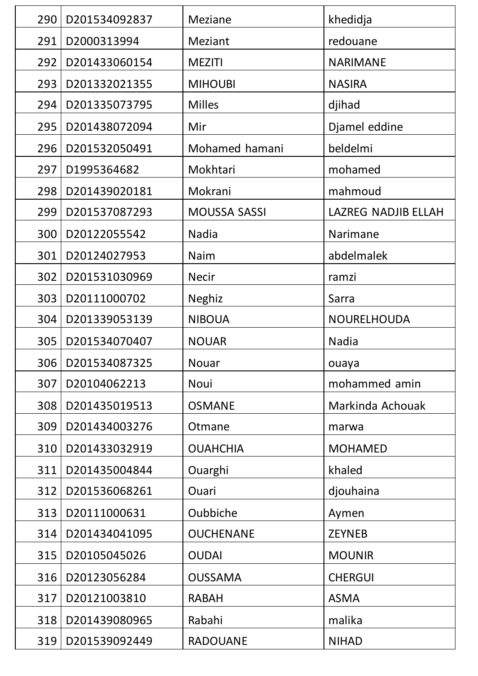| 290 | D201534092837       | <b>Meziane</b>      | khedidja                   |
|-----|---------------------|---------------------|----------------------------|
| 291 | D2000313994         | Meziant             | redouane                   |
| 292 | D201433060154       | <b>MEZITI</b>       | <b>NARIMANE</b>            |
| 293 | D201332021355       | <b>MIHOUBI</b>      | <b>NASIRA</b>              |
| 294 | D201335073795       | <b>Milles</b>       | djihad                     |
| 295 | D201438072094       | Mir                 | Djamel eddine              |
| 296 | D201532050491       | Mohamed hamani      | beldelmi                   |
| 297 | D1995364682         | Mokhtari            | mohamed                    |
| 298 | D201439020181       | Mokrani             | mahmoud                    |
| 299 | D201537087293       | <b>MOUSSA SASSI</b> | <b>LAZREG NADJIB ELLAH</b> |
| 300 | D20122055542        | Nadia               | Narimane                   |
| 301 | D20124027953        | Naim                | abdelmalek                 |
| 302 | D201531030969       | <b>Necir</b>        | ramzi                      |
| 303 | D20111000702        | <b>Neghiz</b>       | Sarra                      |
| 304 | D201339053139       | <b>NIBOUA</b>       | <b>NOURELHOUDA</b>         |
|     | D201534070407       | <b>NOUAR</b>        | Nadia                      |
| 305 |                     |                     |                            |
|     | 306   D201534087325 | Nouar               | ouaya                      |
| 307 | D20104062213        | Noui                | mohammed amin              |
| 308 | D201435019513       | <b>OSMANE</b>       | Markinda Achouak           |
| 309 | D201434003276       | Otmane              | marwa                      |
| 310 | D201433032919       | <b>OUAHCHIA</b>     | <b>MOHAMED</b>             |
| 311 | D201435004844       | Ouarghi             | khaled                     |
| 312 | D201536068261       | Ouari               | djouhaina                  |
| 313 | D20111000631        | Oubbiche            | Aymen                      |
| 314 | D201434041095       | <b>OUCHENANE</b>    | <b>ZEYNEB</b>              |
| 315 | D20105045026        | <b>OUDAI</b>        | <b>MOUNIR</b>              |
| 316 | D20123056284        | <b>OUSSAMA</b>      | <b>CHERGUI</b>             |
| 317 | D20121003810        | <b>RABAH</b>        | <b>ASMA</b>                |
| 318 | D201439080965       | Rabahi              | malika                     |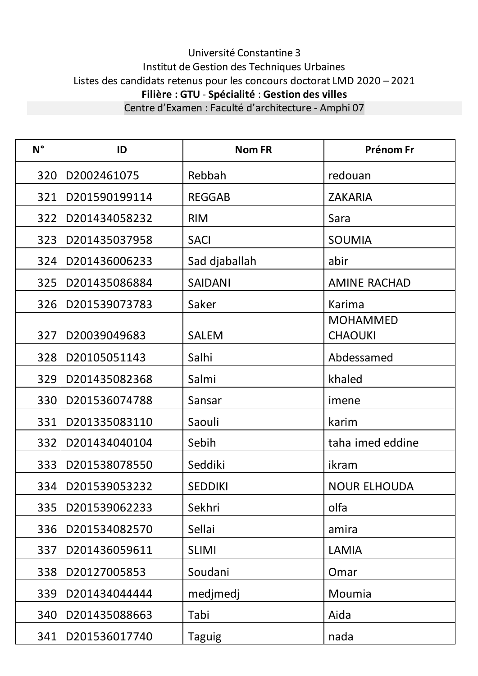**N° ID Nom FR Prénom Fr** 320 D2002461075 Rebbah redouan 321 D201590199114 REGGAB ZAKARIA 322 D201434058232 RIM Sara 323 D201435037958 SACI SOUMIA 324 D201436006233 Sad djaballah abir 325 D201435086884 SAIDANI AMINE RACHAD 326 D201539073783 Saker Karima 327 D20039049683 SALEM MOHAMMED **CHAOUKI** 328 D20105051143 Salhi Abdessamed 329 D201435082368 Salmi khaled 330 D201536074788 Sansar imene 331 D201335083110 Saouli karim 332 D201434040104 Sebih taha imed eddine 333 D201538078550 | Seddiki | ikram 334 | D201539053232 | SEDDIKI | NOUR ELHOUDA 335 | D201539062233 | Sekhri | National Sekhri | Olfa 336 D201534082570 Sellai amira 337 D201436059611 SLIMI LAMIA 338 D20127005853 Soudani Soudani Samuel Omar 339 D201434044444 medjmedj Moumia 340 D201435088663 Tabi Aida 341 D201536017740 Taguig nada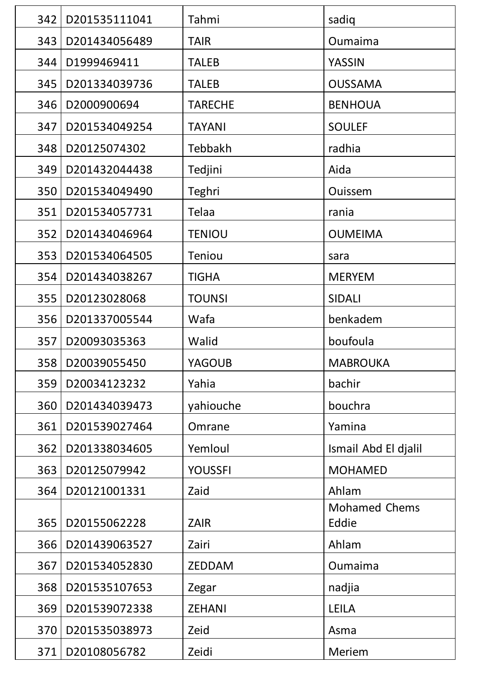| 342 | D201535111041      | Tahmi          | sadiq                         |
|-----|--------------------|----------------|-------------------------------|
| 343 | D201434056489      | <b>TAIR</b>    | Oumaima                       |
| 344 | D1999469411        | <b>TALEB</b>   | <b>YASSIN</b>                 |
| 345 | D201334039736      | <b>TALEB</b>   | <b>OUSSAMA</b>                |
| 346 | D2000900694        | <b>TARECHE</b> | <b>BENHOUA</b>                |
| 347 | D201534049254      | <b>TAYANI</b>  | <b>SOULEF</b>                 |
| 348 | D20125074302       | Tebbakh        | radhia                        |
| 349 | D201432044438      | Tedjini        | Aida                          |
| 350 | D201534049490      | Teghri         | <b>Ouissem</b>                |
| 351 | D201534057731      | Telaa          | rania                         |
| 352 | D201434046964      | <b>TENIOU</b>  | <b>OUMEIMA</b>                |
| 353 | D201534064505      | <b>Teniou</b>  | sara                          |
| 354 | D201434038267      | <b>TIGHA</b>   | <b>MERYEM</b>                 |
| 355 | D20123028068       | <b>TOUNSI</b>  | <b>SIDALI</b>                 |
| 356 | D201337005544      | Wafa           | benkadem                      |
| 357 | D20093035363       | Walid          | boufoula                      |
|     | 358   D20039055450 | YAGOUB         | <b>MABROUKA</b>               |
| 359 | D20034123232       | Yahia          | bachir                        |
| 360 | D201434039473      | yahiouche      | bouchra                       |
| 361 | D201539027464      | Omrane         | Yamina                        |
| 362 | D201338034605      | Yemloul        | Ismail Abd El djalil          |
| 363 | D20125079942       | <b>YOUSSFI</b> | <b>MOHAMED</b>                |
| 364 | D20121001331       | Zaid           | Ahlam                         |
| 365 | D20155062228       | <b>ZAIR</b>    | <b>Mohamed Chems</b><br>Eddie |
| 366 | D201439063527      | Zairi          | Ahlam                         |
| 367 | D201534052830      | <b>ZEDDAM</b>  | Oumaima                       |
| 368 | D201535107653      | Zegar          | nadjia                        |
| 369 | D201539072338      | <b>ZEHANI</b>  | <b>LEILA</b>                  |
| 370 | D201535038973      | Zeid           | Asma                          |
| 371 | D20108056782       | Zeidi          | Meriem                        |